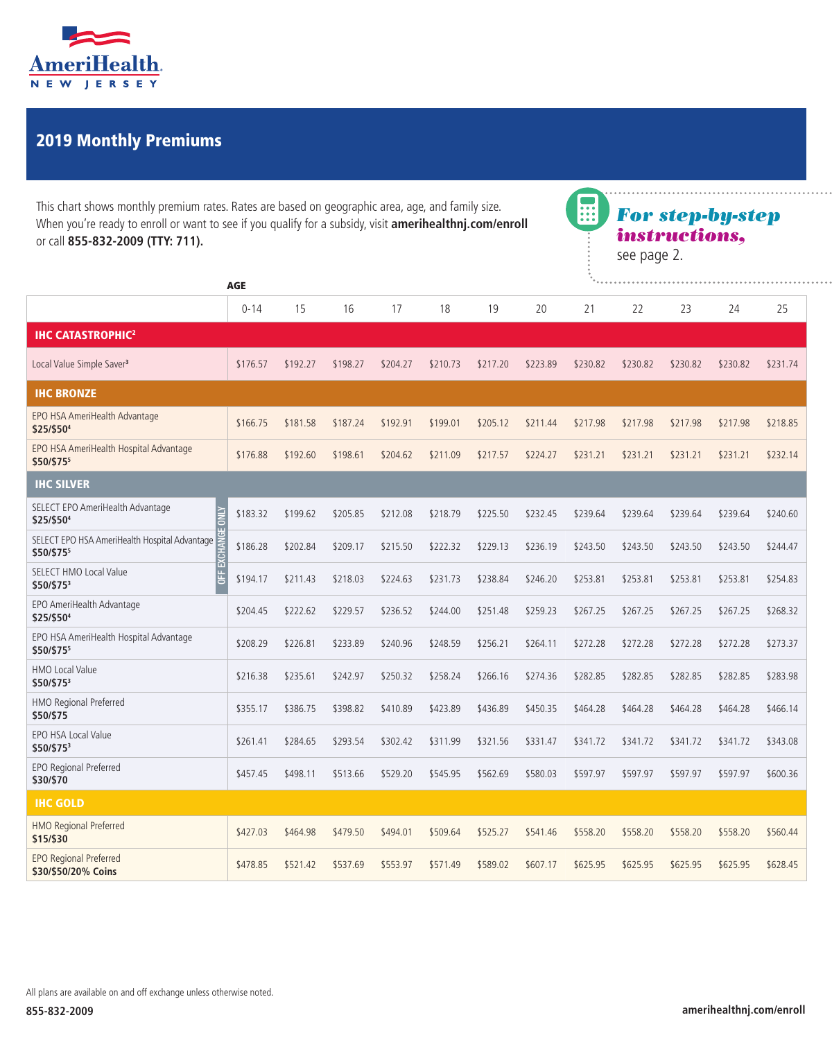

## 2019 Monthly Premiums

This chart shows monthly premium rates. Rates are based on geographic area, age, and family size. When you're ready to enroll or want to see if you qualify for a subsidy, visit **amerihealthnj.com/enroll**  or call **855-832-2009 (TTY: 711).** 



| <b>AGE</b>                                                         |          | $L_{\rm max}$ |          |          |          |          |          |          |          |          |          |          |
|--------------------------------------------------------------------|----------|---------------|----------|----------|----------|----------|----------|----------|----------|----------|----------|----------|
|                                                                    | $0 - 14$ | 15            | 16       | 17       | 18       | 19       | 20       | 21       | 22       | 23       | 24       | 25       |
| <b>IHC CATASTROPHIC<sup>2</sup></b>                                |          |               |          |          |          |          |          |          |          |          |          |          |
| Local Value Simple Saver <sup>3</sup>                              | \$176.57 | \$192.27      | \$198.27 | \$204.27 | \$210.73 | \$217.20 | \$223.89 | \$230.82 | \$230.82 | \$230.82 | \$230.82 | \$231.74 |
| <b>IHC BRONZE</b>                                                  |          |               |          |          |          |          |          |          |          |          |          |          |
| EPO HSA AmeriHealth Advantage<br>\$25/\$50 <sup>4</sup>            | \$166.75 | \$181.58      | \$187.24 | \$192.91 | \$199.01 | \$205.12 | \$211.44 | \$217.98 | \$217.98 | \$217.98 | \$217.98 | \$218.85 |
| EPO HSA AmeriHealth Hospital Advantage<br>\$50/\$755               | \$176.88 | \$192.60      | \$198.61 | \$204.62 | \$211.09 | \$217.57 | \$224.27 | \$231.21 | \$231.21 | \$231.21 | \$231.21 | \$232.14 |
| <b>IHC SILVER</b>                                                  |          |               |          |          |          |          |          |          |          |          |          |          |
| SELECT EPO AmeriHealth Advantage<br>\$25/\$504                     | \$183.32 | \$199.62      | \$205.85 | \$212.08 | \$218.79 | \$225.50 | \$232.45 | \$239.64 | \$239.64 | \$239.64 | \$239.64 | \$240.60 |
| SELECT EPO HSA AmeriHealth Hospital Advantage<br>\$50/\$755        | \$186.28 | \$202.84      | \$209.17 | \$215.50 | \$222.32 | \$229.13 | \$236.19 | \$243.50 | \$243.50 | \$243.50 | \$243.50 | \$244.47 |
| 置<br><b>SELECT HMO Local Value</b><br>E <sub>L</sub><br>\$50/\$753 | \$194.17 | \$211.43      | \$218.03 | \$224.63 | \$231.73 | \$238.84 | \$246.20 | \$253.81 | \$253.81 | \$253.81 | \$253.81 | \$254.83 |
| EPO AmeriHealth Advantage<br>\$25/\$504                            | \$204.45 | \$222.62      | \$229.57 | \$236.52 | \$244.00 | \$251.48 | \$259.23 | \$267.25 | \$267.25 | \$267.25 | \$267.25 | \$268.32 |
| EPO HSA AmeriHealth Hospital Advantage<br>\$50/\$755               | \$208.29 | \$226.81      | \$233.89 | \$240.96 | \$248.59 | \$256.21 | \$264.11 | \$272.28 | \$272.28 | \$272.28 | \$272.28 | \$273.37 |
| <b>HMO Local Value</b><br>\$50/\$753                               | \$216.38 | \$235.61      | \$242.97 | \$250.32 | \$258.24 | \$266.16 | \$274.36 | \$282.85 | \$282.85 | \$282.85 | \$282.85 | \$283.98 |
| HMO Regional Preferred<br>\$50/\$75                                | \$355.17 | \$386.75      | \$398.82 | \$410.89 | \$423.89 | \$436.89 | \$450.35 | \$464.28 | \$464.28 | \$464.28 | \$464.28 | \$466.14 |
| EPO HSA Local Value<br>\$50/\$753                                  | \$261.41 | \$284.65      | \$293.54 | \$302.42 | \$311.99 | \$321.56 | \$331.47 | \$341.72 | \$341.72 | \$341.72 | \$341.72 | \$343.08 |
| EPO Regional Preferred<br>\$30/\$70                                | \$457.45 | \$498.11      | \$513.66 | \$529.20 | \$545.95 | \$562.69 | \$580.03 | \$597.97 | \$597.97 | \$597.97 | \$597.97 | \$600.36 |
| <b>IHC GOLD</b>                                                    |          |               |          |          |          |          |          |          |          |          |          |          |
| <b>HMO Regional Preferred</b><br>\$15/\$30                         | \$427.03 | \$464.98      | \$479.50 | \$494.01 | \$509.64 | \$525.27 | \$541.46 | \$558.20 | \$558.20 | \$558.20 | \$558.20 | \$560.44 |
| <b>EPO Regional Preferred</b><br>\$30/\$50/20% Coins               | \$478.85 | \$521.42      | \$537.69 | \$553.97 | \$571.49 | \$589.02 | \$607.17 | \$625.95 | \$625.95 | \$625.95 | \$625.95 | \$628.45 |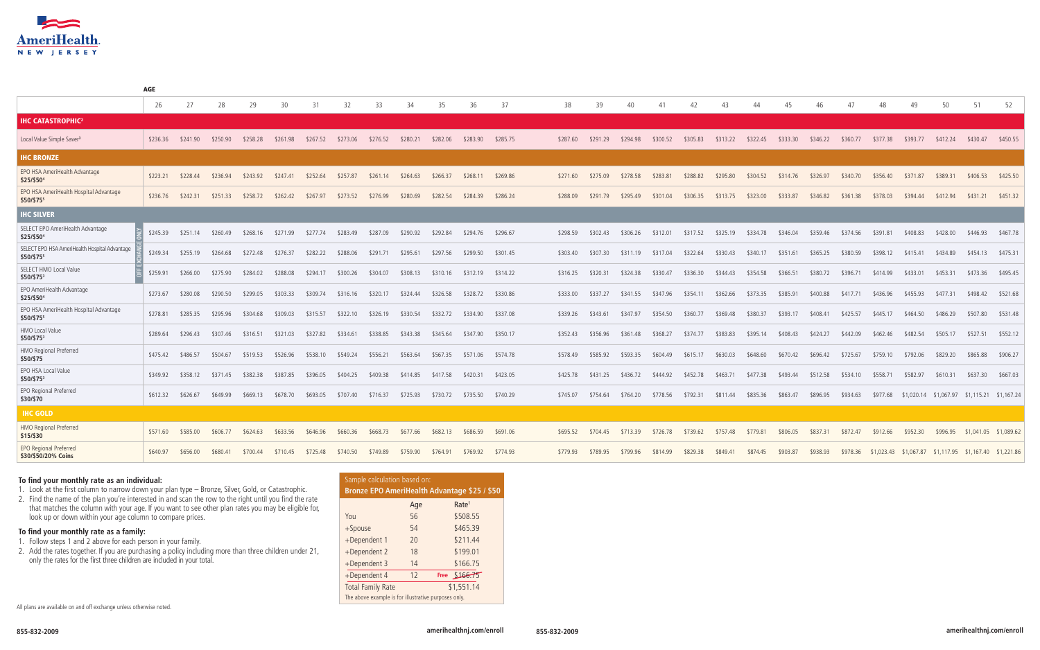2. Find the name of the plan you're interested in and scan the row to the right until you find the rate that matches the column with your age. If you want to see other plan rates you may be eligible for, look up or down within your age column to compare prices.



|                                                             | 26       | 27                | 28       | 29       | 30       | 31       | 32       | 33       | 34       | 35       | 36       | 37       | 38       | 39       | 40       |          |          |          |          |          |          |          |                                                        |          | 50                                          | 51                    |          |
|-------------------------------------------------------------|----------|-------------------|----------|----------|----------|----------|----------|----------|----------|----------|----------|----------|----------|----------|----------|----------|----------|----------|----------|----------|----------|----------|--------------------------------------------------------|----------|---------------------------------------------|-----------------------|----------|
| <b>IHC CATASTROPHIC<sup>2</sup></b>                         |          |                   |          |          |          |          |          |          |          |          |          |          |          |          |          |          |          |          |          |          |          |          |                                                        |          |                                             |                       |          |
| Local Value Simple Saver <sup>3</sup>                       | \$236.36 | \$241.90          | \$250.90 | \$258.28 | \$261.98 | \$267.52 | \$273.06 | \$276.52 | \$280.21 | \$282.06 | \$283.90 | \$285.75 | \$287.60 | \$291.29 | \$294.98 | \$300.52 | \$305.83 | \$313.22 | \$322.45 | \$333.30 | \$346.22 | \$360.77 | \$377.38                                               | \$393.77 | \$412.24                                    | \$430.47              | \$450.55 |
| <b>IHC BRONZE</b>                                           |          |                   |          |          |          |          |          |          |          |          |          |          |          |          |          |          |          |          |          |          |          |          |                                                        |          |                                             |                       |          |
| EPO HSA AmeriHealth Advantage<br>\$25/\$504                 | \$223.21 | \$228.44          | \$236.94 | \$243.92 | \$247.41 | \$252.64 | \$257.87 | \$261.14 | \$264.63 | \$266.37 | \$268.11 | \$269.86 | \$271.60 | \$275.09 | \$278.58 | \$283.81 | \$288.82 | \$295.80 | \$304.52 | \$314.76 | \$326.97 | \$340.70 | \$356.40                                               | \$371.87 | \$389.31                                    | \$406.53              | \$425.50 |
| EPO HSA AmeriHealth Hospital Advantage<br>\$50/\$755        | \$236.76 | \$242.31          | \$251.33 | \$258.72 | \$262.42 | \$267.97 | \$273.52 | \$276.99 | \$280.69 | \$282.54 | \$284.39 | \$286.24 | \$288.09 | \$291.79 | \$295.49 | \$301.04 | \$306.35 | \$313.75 | \$323.00 | \$333.87 | \$346.82 | \$361.38 | \$378.03                                               | \$394.44 | \$412.94                                    | \$431.21              | \$451.32 |
| <b>IHC SILVER</b>                                           |          |                   |          |          |          |          |          |          |          |          |          |          |          |          |          |          |          |          |          |          |          |          |                                                        |          |                                             |                       |          |
| SELECT EPO AmeriHealth Advantage<br>\$25/\$504              | \$245.39 | \$251.14          | \$260.49 | \$268.16 | \$271.99 | \$277.74 | \$283.49 | \$287.09 | \$290.92 | \$292.84 | \$294.76 | \$296.67 | \$298.59 | \$302.43 | \$306.26 | \$312.01 | \$317.52 | \$325.19 | \$334.78 | \$346.04 | \$359.46 | \$374.56 | \$391.81                                               | \$408.83 | \$428.00                                    | \$446.93              | \$467.78 |
| SELECT EPO HSA AmeriHealth Hospital Advantage<br>\$50/\$755 | \$249.34 | \$255.19          | \$264.68 | \$272.48 | \$276.37 | \$282.22 | \$288.06 | \$291.71 | \$295.61 | \$297.56 | \$299.50 | \$301.45 | \$303.40 | \$307.30 | \$311.19 | \$317.04 | \$322.64 | \$330.43 | \$340.17 | \$351.61 | \$365.25 | \$380.59 | \$398.12                                               | \$415.41 | \$434.89                                    | \$454.13              | \$475.31 |
| SELECT HMO Local Value<br>\$50/\$753                        | \$259.91 | \$266.00          | \$275.90 | \$284.02 | \$288.08 | \$294.17 | \$300.26 | \$304.07 | \$308.13 | \$310.16 | \$312.19 | \$314.22 | \$316.25 | \$320.31 | \$324.38 | \$330.47 | \$336.30 | \$344.43 | \$354.58 | \$366.51 | \$380.72 | \$396.71 | \$414.99                                               | \$433.01 | \$453.31                                    | \$473.36              | \$495.45 |
| EPO AmeriHealth Advantage<br>\$25/\$504                     | \$273.67 | \$280.08          | \$290.50 | \$299.05 | \$303.33 | \$309.74 | \$316.16 | \$320.17 | \$324.44 | \$326.58 | \$328.72 | \$330.86 | \$333.00 | \$337.27 | \$341.55 | \$347.96 | \$354.11 | \$362.66 | \$373.35 | \$385.91 | \$400.88 | \$417.71 | \$436.96                                               | \$455.93 | \$477.31                                    | \$498.42              | \$521.68 |
| EPO HSA AmeriHealth Hospital Advantage<br>\$50/\$755        | \$278.81 | \$285.35          | \$295.96 | \$304.68 | \$309.03 | \$315.57 | \$322.10 | \$326.19 | \$330.54 | \$332.72 | \$334.90 | \$337.08 | \$339.26 | \$343.61 | \$347.97 | \$354.50 | \$360.77 | \$369.48 | \$380.37 | \$393.17 | \$408.41 | \$425.57 | \$445.17                                               | \$464.50 | \$486.29                                    | \$507.80              | \$531.48 |
| HMO Local Value<br>\$50/\$753                               | \$289.64 | \$296.43          | \$307.46 | \$316.51 | \$321.03 | \$327.82 | \$334.61 | \$338.85 | \$343.38 | \$345.64 | \$347.90 | \$350.17 | \$352.43 | \$356.96 | \$361.48 | \$368.27 | \$374.77 | \$383.83 | \$395.14 | \$408.43 | \$424.27 | \$442.09 | \$462.46                                               | \$482.54 | \$505.17                                    | \$527.51              | \$552.12 |
| HMO Regional Preferred<br>\$50/\$75                         |          | \$475.42 \$486.57 | \$504.67 | \$519.53 | \$526.96 | \$538.10 | \$549.24 | \$556.21 | \$563.64 | \$567.35 | \$571.06 | \$574.78 | \$578.49 | \$585.92 | \$593.35 | \$604.49 | \$615.17 | \$630.03 | \$648.60 | \$670.42 | \$696.42 | \$725.67 | \$759.10                                               | \$792.06 | \$829.20                                    | \$865.88              | \$906.27 |
| EPO HSA Local Value<br>\$50/\$753                           |          | \$349.92 \$358.12 | \$371.45 | \$382.38 | \$387.85 | \$396.05 | \$404.25 | \$409.38 | \$414.85 | \$417.58 | \$420.31 | \$423.05 | \$425.78 | \$431.25 | \$436.72 | \$444.92 | \$452.78 | \$463.71 | \$477.38 | \$493.44 | \$512.58 | \$534.10 | \$558.71                                               | \$582.97 | \$610.31                                    | \$637.30              | \$667.03 |
| EPO Regional Preferred<br>\$30/\$70                         | \$612.32 | \$626.67          | \$649.99 | \$669.13 | \$678.70 | \$693.05 | \$707.40 | \$716.37 | \$725.93 | \$730.72 | \$735.50 | \$740.29 | \$745.07 | \$754.64 | \$764.20 | \$778.56 | \$792.31 | \$811.44 | \$835.36 | \$863.47 | \$896.95 | \$934.63 | \$977.68                                               |          | \$1,020.14 \$1,067.97 \$1,115.21 \$1,167.24 |                       |          |
| <b>IHC GOLD</b>                                             |          |                   |          |          |          |          |          |          |          |          |          |          |          |          |          |          |          |          |          |          |          |          |                                                        |          |                                             |                       |          |
| HMO Regional Preferred<br>\$15/\$30                         | \$571.60 | \$585.00          | \$606.77 | \$624.63 | \$633.56 | \$646.96 | \$660.36 | \$668.73 | \$677.66 | \$682.13 | \$686.59 | \$691.06 | \$695.52 | \$704.45 | \$713.39 | \$726.78 | \$739.62 | \$757.48 | \$779.81 | \$806.05 | \$837.31 | \$872.47 | \$912.66                                               | \$952.30 | \$996.95                                    | \$1,041.05 \$1,089.62 |          |
| <b>EPO Regional Preferred</b><br>\$30/\$50/20% Coins        | \$640.97 | \$656.00          | \$680.41 | \$700.44 | \$710.45 | \$725.48 | \$740.50 | \$749.89 | \$759.90 | \$764.91 | \$769.92 | \$774.93 | \$779.93 | \$789.95 | \$799.96 | \$814.99 | \$829.38 | \$849.41 | \$874.45 | \$903.87 | \$938.93 | \$978.36 | \$1,023.43 \$1,067.87 \$1,117.95 \$1,167.40 \$1,221.86 |          |                                             |                       |          |

AGE

All plans are available on and off exchange unless otherwise noted.

## **To find your monthly rate as an individual:**

1. Look at the first column to narrow down your plan type – Bronze, Silver, Gold, or Catastrophic.

## **To find your monthly rate as a family:**

- 1. Follow steps 1 and 2 above for each person in your family.
- 2. Add the rates together. If you are purchasing a policy including more than three children under 21, only the rates for the first three children are included in your total.

| Sample calculation based on:<br>Bronze EPO AmeriHealth Advantage \$25 / \$50 |     |                   |  |  |  |  |  |  |  |  |  |
|------------------------------------------------------------------------------|-----|-------------------|--|--|--|--|--|--|--|--|--|
|                                                                              | Age | Rate <sup>1</sup> |  |  |  |  |  |  |  |  |  |
| You                                                                          | 56  | \$508.55          |  |  |  |  |  |  |  |  |  |
| $+$ Spouse                                                                   | 54  | \$465.39          |  |  |  |  |  |  |  |  |  |
| +Dependent 1                                                                 | 20  | \$211.44          |  |  |  |  |  |  |  |  |  |
| +Dependent 2                                                                 | 18  | \$199.01          |  |  |  |  |  |  |  |  |  |
| +Dependent 3                                                                 | 14  | \$166.75          |  |  |  |  |  |  |  |  |  |
| +Dependent 4                                                                 | 12  | Free \$166.75     |  |  |  |  |  |  |  |  |  |
| <b>Total Family Rate</b>                                                     |     | \$1,551.14        |  |  |  |  |  |  |  |  |  |
| The above example is for illustrative purposes only.                         |     |                   |  |  |  |  |  |  |  |  |  |